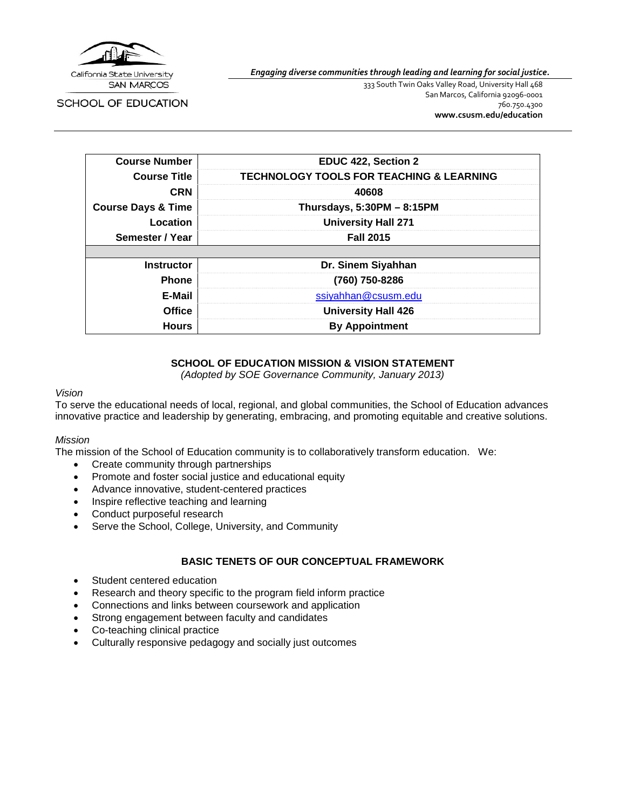

SCHOOL OF EDUCATION

*Engaging diverse communities through leading and learning for social justice.*

333 South Twin Oaks Valley Road, University Hall 468 San Marcos, California 92096-0001 760.750.4300 **[www.csusm.edu/education](http://www.csusm.edu/education)**

| <b>Course Number</b>          | EDUC 422, Section 2                                 |
|-------------------------------|-----------------------------------------------------|
| <b>Course Title</b>           | <b>TECHNOLOGY TOOLS FOR TEACHING &amp; LEARNING</b> |
| <b>CRN</b>                    | 40608                                               |
| <b>Course Days &amp; Time</b> | Thursdays, $5:30PM - 8:15PM$                        |
| Location                      | <b>University Hall 271</b>                          |
| Semester / Year               | <b>Fall 2015</b>                                    |
|                               |                                                     |
| <b>Instructor</b>             | Dr. Sinem Siyahhan                                  |
| <b>Phone</b>                  | (760) 750-8286                                      |
| E-Mail                        | ssiyahhan@csusm.edu                                 |
| <b>Office</b>                 | <b>University Hall 426</b>                          |
| <b>Hours</b>                  | <b>By Appointment</b>                               |

### **SCHOOL OF EDUCATION MISSION & VISION STATEMENT**

*(Adopted by SOE Governance Community, January 2013)*

#### *Vision*

To serve the educational needs of local, regional, and global communities, the School of Education advances innovative practice and leadership by generating, embracing, and promoting equitable and creative solutions.

#### *Mission*

The mission of the School of Education community is to collaboratively transform education. We:

- Create community through partnerships
- Promote and foster social justice and educational equity
- Advance innovative, student-centered practices
- Inspire reflective teaching and learning
- Conduct purposeful research
- Serve the School, College, University, and Community

### **BASIC TENETS OF OUR CONCEPTUAL FRAMEWORK**

- Student centered education
- Research and theory specific to the program field inform practice
- Connections and links between coursework and application
- Strong engagement between faculty and candidates
- Co-teaching clinical practice
- Culturally responsive pedagogy and socially just outcomes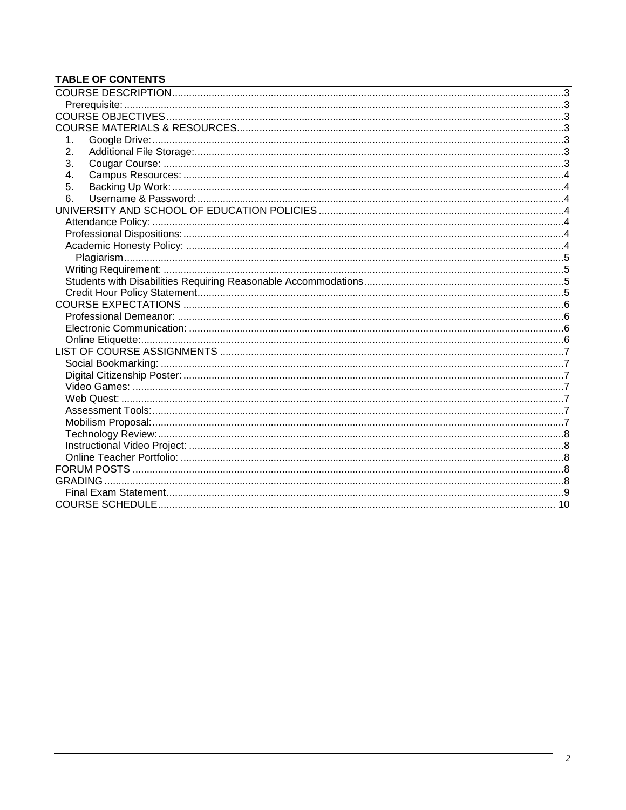# **TABLE OF CONTENTS**

| 1. |  |
|----|--|
| 2. |  |
| 3. |  |
| 4. |  |
| 5. |  |
| 6. |  |
|    |  |
|    |  |
|    |  |
|    |  |
|    |  |
|    |  |
|    |  |
|    |  |
|    |  |
|    |  |
|    |  |
|    |  |
|    |  |
|    |  |
|    |  |
|    |  |
|    |  |
|    |  |
|    |  |
|    |  |
|    |  |
|    |  |
|    |  |
|    |  |
|    |  |
|    |  |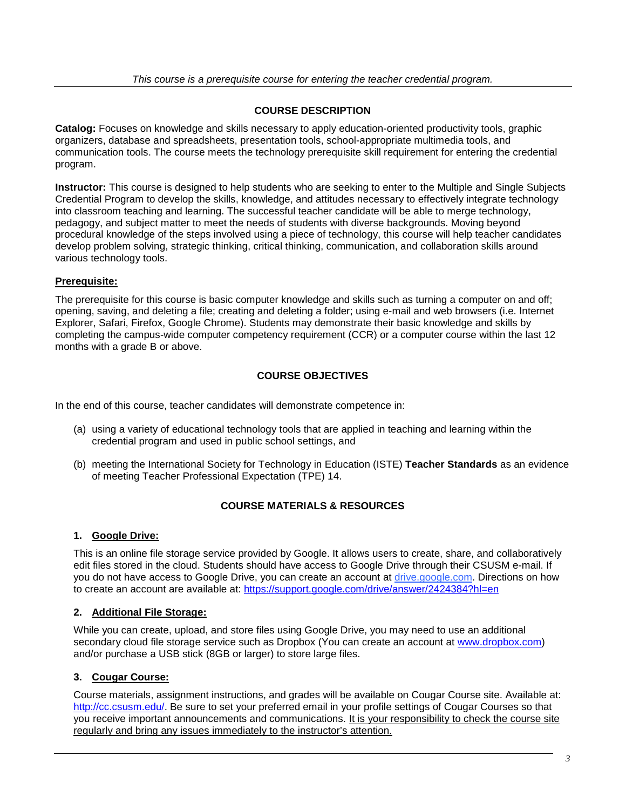### **COURSE DESCRIPTION**

<span id="page-2-0"></span>**Catalog:** Focuses on knowledge and skills necessary to apply education-oriented productivity tools, graphic organizers, database and spreadsheets, presentation tools, school-appropriate multimedia tools, and communication tools. The course meets the technology prerequisite skill requirement for entering the credential program.

**Instructor:** This course is designed to help students who are seeking to enter to the Multiple and Single Subjects Credential Program to develop the skills, knowledge, and attitudes necessary to effectively integrate technology into classroom teaching and learning. The successful teacher candidate will be able to merge technology, pedagogy, and subject matter to meet the needs of students with diverse backgrounds. Moving beyond procedural knowledge of the steps involved using a piece of technology, this course will help teacher candidates develop problem solving, strategic thinking, critical thinking, communication, and collaboration skills around various technology tools.

## <span id="page-2-1"></span>**Prerequisite:**

The prerequisite for this course is basic computer knowledge and skills such as turning a computer on and off; opening, saving, and deleting a file; creating and deleting a folder; using e-mail and web browsers (i.e. Internet Explorer, Safari, Firefox, Google Chrome). Students may demonstrate their basic knowledge and skills by completing the campus-wide computer competency requirement (CCR) or a computer course within the last 12 months with a grade B or above.

## **COURSE OBJECTIVES**

<span id="page-2-2"></span>In the end of this course, teacher candidates will demonstrate competence in:

- (a) using a variety of educational technology tools that are applied in teaching and learning within the credential program and used in public school settings, and
- <span id="page-2-3"></span>(b) meeting the International Society for Technology in Education (ISTE) **Teacher Standards** as an evidence of meeting Teacher Professional Expectation (TPE) 14.

## **COURSE MATERIALS & RESOURCES**

### <span id="page-2-4"></span>**1. Google Drive:**

This is an online file storage service provided by Google. It allows users to create, share, and collaboratively edit files stored in the cloud. Students should have access to Google Drive through their CSUSM e-mail. If you do not have access to Google Drive, you can create an account at drive.google.com. Directions on how to create an account are available at:<https://support.google.com/drive/answer/2424384?hl=en>

### <span id="page-2-5"></span>**2. Additional File Storage:**

While you can create, upload, and store files using Google Drive, you may need to use an additional secondary cloud file storage service such as Dropbox (You can create an account at [www.dropbox.com\)](http://www.dropbox.com/) and/or purchase a USB stick (8GB or larger) to store large files.

### <span id="page-2-6"></span>**3. Cougar Course:**

Course materials, assignment instructions, and grades will be available on Cougar Course site. Available at: [http://cc.csusm.edu/.](http://cc.csusm.edu/) Be sure to set your preferred email in your profile settings of Cougar Courses so that you receive important announcements and communications. It is your responsibility to check the course site regularly and bring any issues immediately to the instructor's attention.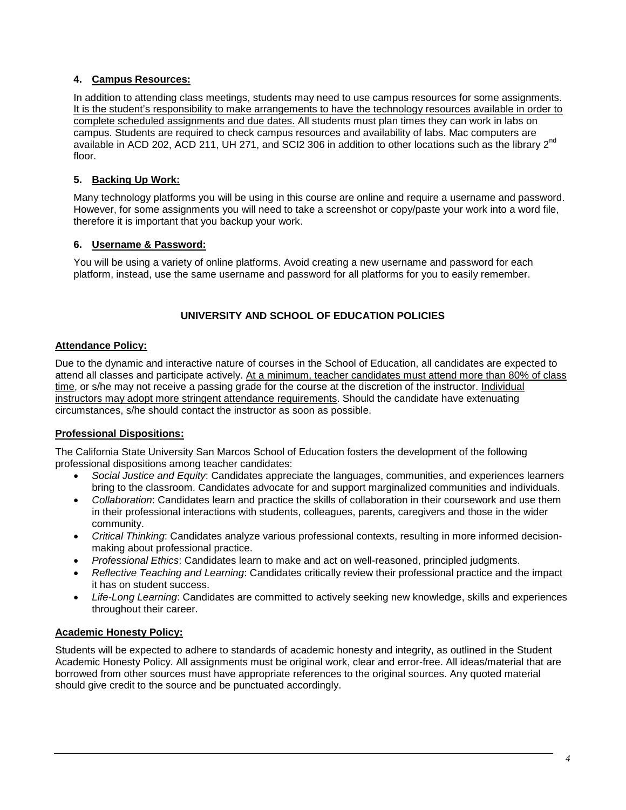## <span id="page-3-0"></span>**4. Campus Resources:**

In addition to attending class meetings, students may need to use campus resources for some assignments. It is the student's responsibility to make arrangements to have the technology resources available in order to complete scheduled assignments and due dates. All students must plan times they can work in labs on campus. Students are required to check campus resources and availability of labs. Mac computers are available in ACD 202, ACD 211, UH 271, and SCI2 306 in addition to other locations such as the library 2<sup>nd</sup> floor.

### <span id="page-3-1"></span>**5. Backing Up Work:**

Many technology platforms you will be using in this course are online and require a username and password. However, for some assignments you will need to take a screenshot or copy/paste your work into a word file, therefore it is important that you backup your work.

### <span id="page-3-2"></span>**6. Username & Password:**

You will be using a variety of online platforms. Avoid creating a new username and password for each platform, instead, use the same username and password for all platforms for you to easily remember.

## **UNIVERSITY AND SCHOOL OF EDUCATION POLICIES**

### <span id="page-3-4"></span><span id="page-3-3"></span>**Attendance Policy:**

Due to the dynamic and interactive nature of courses in the School of Education, all candidates are expected to attend all classes and participate actively. At a minimum, teacher candidates must attend more than 80% of class time, or s/he may not receive a passing grade for the course at the discretion of the instructor. Individual instructors may adopt more stringent attendance requirements. Should the candidate have extenuating circumstances, s/he should contact the instructor as soon as possible.

### <span id="page-3-5"></span>**Professional Dispositions:**

The California State University San Marcos School of Education fosters the development of the following professional dispositions among teacher candidates:

- *Social Justice and Equity*: Candidates appreciate the languages, communities, and experiences learners bring to the classroom. Candidates advocate for and support marginalized communities and individuals.
- *Collaboration*: Candidates learn and practice the skills of collaboration in their coursework and use them in their professional interactions with students, colleagues, parents, caregivers and those in the wider community.
- *Critical Thinking*: Candidates analyze various professional contexts, resulting in more informed decisionmaking about professional practice.
- *Professional Ethics*: Candidates learn to make and act on well-reasoned, principled judgments.
- *Reflective Teaching and Learning*: Candidates critically review their professional practice and the impact it has on student success.
- *Life-Long Learning*: Candidates are committed to actively seeking new knowledge, skills and experiences throughout their career.

### <span id="page-3-6"></span>**Academic Honesty Policy:**

Students will be expected to adhere to standards of academic honesty and integrity, as outlined in the Student Academic Honesty Policy. All assignments must be original work, clear and error-free. All ideas/material that are borrowed from other sources must have appropriate references to the original sources. Any quoted material should give credit to the source and be punctuated accordingly.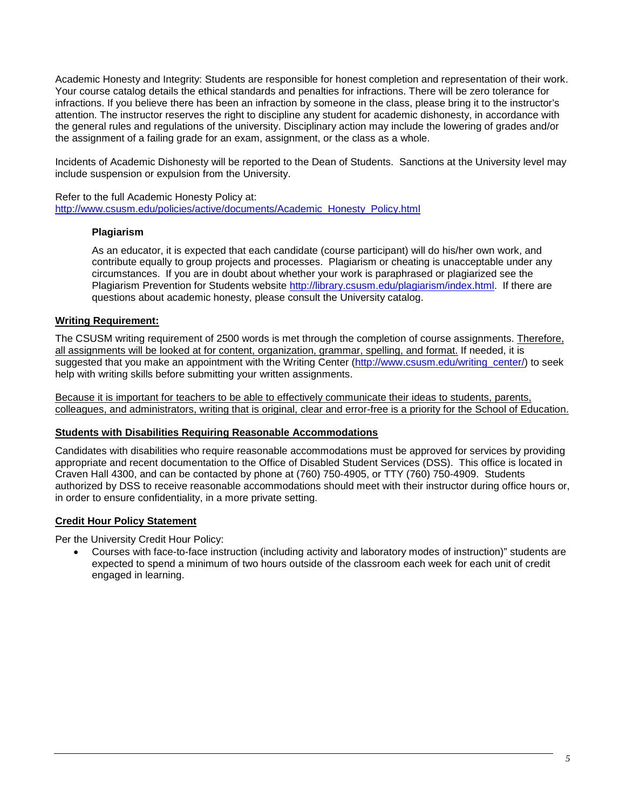Academic Honesty and Integrity: Students are responsible for honest completion and representation of their work. Your course catalog details the ethical standards and penalties for infractions. There will be zero tolerance for infractions. If you believe there has been an infraction by someone in the class, please bring it to the instructor's attention. The instructor reserves the right to discipline any student for academic dishonesty, in accordance with the general rules and regulations of the university. Disciplinary action may include the lowering of grades and/or the assignment of a failing grade for an exam, assignment, or the class as a whole.

Incidents of Academic Dishonesty will be reported to the Dean of Students. Sanctions at the University level may include suspension or expulsion from the University.

<span id="page-4-0"></span>Refer to the full Academic Honesty Policy at: [http://www.csusm.edu/policies/active/documents/Academic\\_Honesty\\_Policy.html](http://www.csusm.edu/policies/active/documents/Academic_Honesty_Policy.html)

### **Plagiarism**

As an educator, it is expected that each candidate (course participant) will do his/her own work, and contribute equally to group projects and processes. Plagiarism or cheating is unacceptable under any circumstances. If you are in doubt about whether your work is paraphrased or plagiarized see the Plagiarism Prevention for Students website [http://library.csusm.edu/plagiarism/index.html.](http://library.csusm.edu/plagiarism/index.html) If there are questions about academic honesty, please consult the University catalog.

### <span id="page-4-1"></span>**Writing Requirement:**

The CSUSM writing requirement of 2500 words is met through the completion of course assignments. Therefore, all assignments will be looked at for content, organization, grammar, spelling, and format. If needed, it is suggested that you make an appointment with the Writing Center [\(http://www.csusm.edu/writing\\_center/\)](http://www.csusm.edu/writing_center/) to seek help with writing skills before submitting your written assignments.

Because it is important for teachers to be able to effectively communicate their ideas to students, parents, colleagues, and administrators, writing that is original, clear and error-free is a priority for the School of Education.

#### <span id="page-4-2"></span>**Students with Disabilities Requiring Reasonable Accommodations**

Candidates with disabilities who require reasonable accommodations must be approved for services by providing appropriate and recent documentation to the Office of Disabled Student Services (DSS). This office is located in Craven Hall 4300, and can be contacted by phone at (760) 750-4905, or TTY (760) 750-4909. Students authorized by DSS to receive reasonable accommodations should meet with their instructor during office hours or, in order to ensure confidentiality, in a more private setting.

#### <span id="page-4-3"></span>**Credit Hour Policy Statement**

Per the University Credit Hour Policy:

• Courses with face-to-face instruction (including activity and laboratory modes of instruction)" students are expected to spend a minimum of two hours outside of the classroom each week for each unit of credit engaged in learning.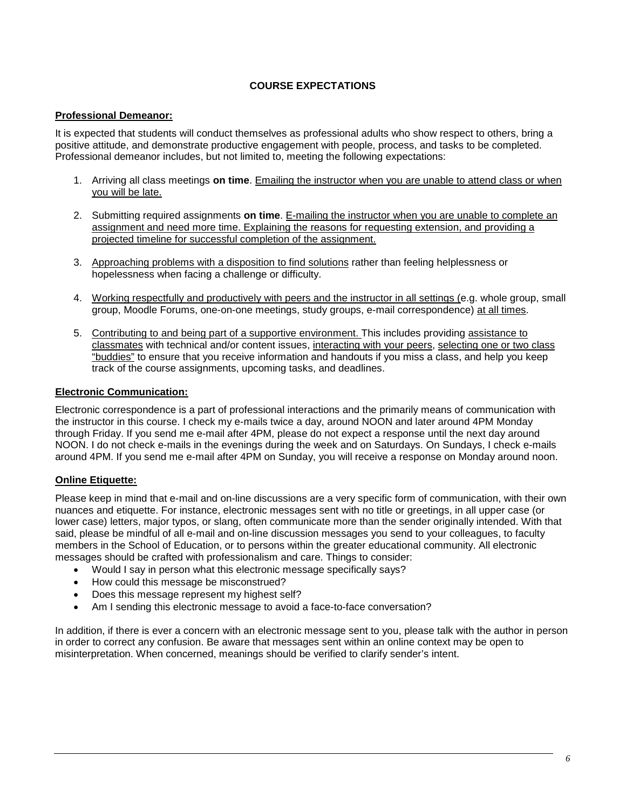### **COURSE EXPECTATIONS**

### <span id="page-5-1"></span><span id="page-5-0"></span>**Professional Demeanor:**

It is expected that students will conduct themselves as professional adults who show respect to others, bring a positive attitude, and demonstrate productive engagement with people, process, and tasks to be completed. Professional demeanor includes, but not limited to, meeting the following expectations:

- 1. Arriving all class meetings **on time**. Emailing the instructor when you are unable to attend class or when you will be late.
- 2. Submitting required assignments **on time**. E-mailing the instructor when you are unable to complete an assignment and need more time. Explaining the reasons for requesting extension, and providing a projected timeline for successful completion of the assignment.
- 3. Approaching problems with a disposition to find solutions rather than feeling helplessness or hopelessness when facing a challenge or difficulty.
- 4. Working respectfully and productively with peers and the instructor in all settings (e.g. whole group, small group, Moodle Forums, one-on-one meetings, study groups, e-mail correspondence) at all times.
- 5. Contributing to and being part of a supportive environment. This includes providing assistance to classmates with technical and/or content issues, interacting with your peers, selecting one or two class "buddies" to ensure that you receive information and handouts if you miss a class, and help you keep track of the course assignments, upcoming tasks, and deadlines.

### <span id="page-5-2"></span>**Electronic Communication:**

Electronic correspondence is a part of professional interactions and the primarily means of communication with the instructor in this course. I check my e-mails twice a day, around NOON and later around 4PM Monday through Friday. If you send me e-mail after 4PM, please do not expect a response until the next day around NOON. I do not check e-mails in the evenings during the week and on Saturdays. On Sundays, I check e-mails around 4PM. If you send me e-mail after 4PM on Sunday, you will receive a response on Monday around noon.

### <span id="page-5-3"></span>**Online Etiquette:**

Please keep in mind that e-mail and on-line discussions are a very specific form of communication, with their own nuances and etiquette. For instance, electronic messages sent with no title or greetings, in all upper case (or lower case) letters, major typos, or slang, often communicate more than the sender originally intended. With that said, please be mindful of all e-mail and on-line discussion messages you send to your colleagues, to faculty members in the School of Education, or to persons within the greater educational community. All electronic messages should be crafted with professionalism and care. Things to consider:

- Would I say in person what this electronic message specifically says?
- How could this message be misconstrued?
- Does this message represent my highest self?
- Am I sending this electronic message to avoid a face-to-face conversation?

In addition, if there is ever a concern with an electronic message sent to you, please talk with the author in person in order to correct any confusion. Be aware that messages sent within an online context may be open to misinterpretation. When concerned, meanings should be verified to clarify sender's intent.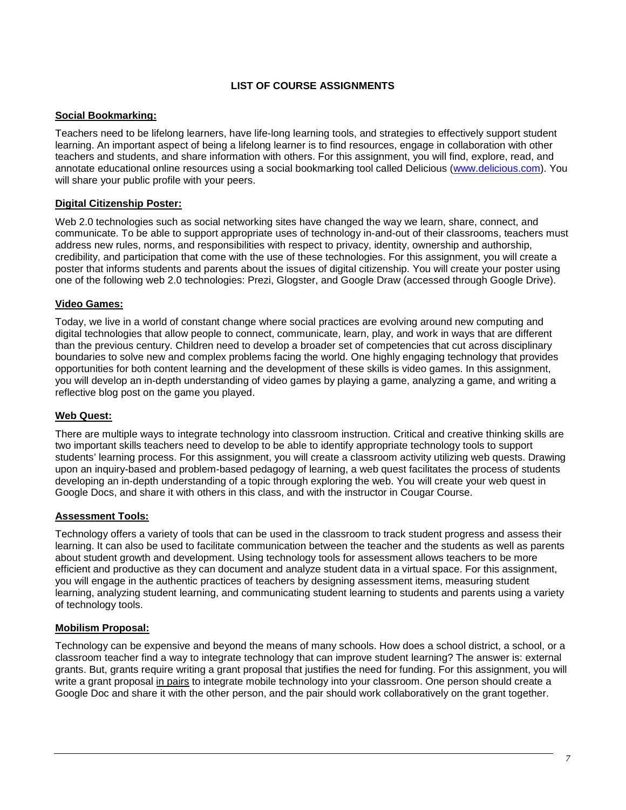### **LIST OF COURSE ASSIGNMENTS**

### <span id="page-6-1"></span><span id="page-6-0"></span>**Social Bookmarking:**

Teachers need to be lifelong learners, have life-long learning tools, and strategies to effectively support student learning. An important aspect of being a lifelong learner is to find resources, engage in collaboration with other teachers and students, and share information with others. For this assignment, you will find, explore, read, and annotate educational online resources using a social bookmarking tool called Delicious [\(www.delicious.com\)](http://www.delicious.com/). You will share your public profile with your peers.

### <span id="page-6-2"></span>**Digital Citizenship Poster:**

Web 2.0 technologies such as social networking sites have changed the way we learn, share, connect, and communicate. To be able to support appropriate uses of technology in-and-out of their classrooms, teachers must address new rules, norms, and responsibilities with respect to privacy, identity, ownership and authorship, credibility, and participation that come with the use of these technologies. For this assignment, you will create a poster that informs students and parents about the issues of digital citizenship. You will create your poster using one of the following web 2.0 technologies: Prezi, Glogster, and Google Draw (accessed through Google Drive).

### <span id="page-6-3"></span>**Video Games:**

Today, we live in a world of constant change where social practices are evolving around new computing and digital technologies that allow people to connect, communicate, learn, play, and work in ways that are different than the previous century. Children need to develop a broader set of competencies that cut across disciplinary boundaries to solve new and complex problems facing the world. One highly engaging technology that provides opportunities for both content learning and the development of these skills is video games. In this assignment, you will develop an in-depth understanding of video games by playing a game, analyzing a game, and writing a reflective blog post on the game you played.

## <span id="page-6-4"></span>**Web Quest:**

There are multiple ways to integrate technology into classroom instruction. Critical and creative thinking skills are two important skills teachers need to develop to be able to identify appropriate technology tools to support students' learning process. For this assignment, you will create a classroom activity utilizing web quests. Drawing upon an inquiry-based and problem-based pedagogy of learning, a web quest facilitates the process of students developing an in-depth understanding of a topic through exploring the web. You will create your web quest in Google Docs, and share it with others in this class, and with the instructor in Cougar Course.

### <span id="page-6-5"></span>**Assessment Tools:**

Technology offers a variety of tools that can be used in the classroom to track student progress and assess their learning. It can also be used to facilitate communication between the teacher and the students as well as parents about student growth and development. Using technology tools for assessment allows teachers to be more efficient and productive as they can document and analyze student data in a virtual space. For this assignment, you will engage in the authentic practices of teachers by designing assessment items, measuring student learning, analyzing student learning, and communicating student learning to students and parents using a variety of technology tools.

### <span id="page-6-6"></span>**Mobilism Proposal:**

Technology can be expensive and beyond the means of many schools. How does a school district, a school, or a classroom teacher find a way to integrate technology that can improve student learning? The answer is: external grants. But, grants require writing a grant proposal that justifies the need for funding. For this assignment, you will write a grant proposal in pairs to integrate mobile technology into your classroom. One person should create a Google Doc and share it with the other person, and the pair should work collaboratively on the grant together.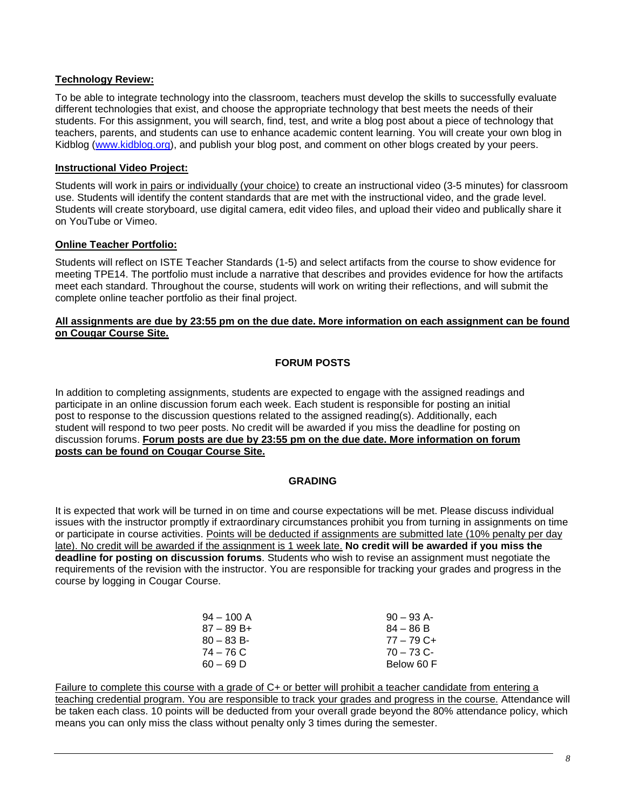## <span id="page-7-0"></span>**Technology Review:**

To be able to integrate technology into the classroom, teachers must develop the skills to successfully evaluate different technologies that exist, and choose the appropriate technology that best meets the needs of their students. For this assignment, you will search, find, test, and write a blog post about a piece of technology that teachers, parents, and students can use to enhance academic content learning. You will create your own blog in Kidblog [\(www.kidblog.org\)](http://www.kidblog.org/), and publish your blog post, and comment on other blogs created by your peers.

### <span id="page-7-1"></span>**Instructional Video Project:**

Students will work in pairs or individually (your choice) to create an instructional video (3-5 minutes) for classroom use. Students will identify the content standards that are met with the instructional video, and the grade level. Students will create storyboard, use digital camera, edit video files, and upload their video and publically share it on YouTube or Vimeo.

### <span id="page-7-2"></span>**Online Teacher Portfolio:**

Students will reflect on ISTE Teacher Standards (1-5) and select artifacts from the course to show evidence for meeting TPE14. The portfolio must include a narrative that describes and provides evidence for how the artifacts meet each standard. Throughout the course, students will work on writing their reflections, and will submit the complete online teacher portfolio as their final project.

#### <span id="page-7-3"></span>**All assignments are due by 23:55 pm on the due date. More information on each assignment can be found on Cougar Course Site.**

## **FORUM POSTS**

In addition to completing assignments, students are expected to engage with the assigned readings and participate in an online discussion forum each week. Each student is responsible for posting an initial post to response to the discussion questions related to the assigned reading(s). Additionally, each student will respond to two peer posts. No credit will be awarded if you miss the deadline for posting on discussion forums. **Forum posts are due by 23:55 pm on the due date. More information on forum posts can be found on Cougar Course Site.**

### **GRADING**

<span id="page-7-4"></span>It is expected that work will be turned in on time and course expectations will be met. Please discuss individual issues with the instructor promptly if extraordinary circumstances prohibit you from turning in assignments on time or participate in course activities. Points will be deducted if assignments are submitted late (10% penalty per day late). No credit will be awarded if the assignment is 1 week late. **No credit will be awarded if you miss the deadline for posting on discussion forums**. Students who wish to revise an assignment must negotiate the requirements of the revision with the instructor. You are responsible for tracking your grades and progress in the course by logging in Cougar Course.

| $94 - 100$ A | $90 - 93$ A- |
|--------------|--------------|
| $87 - 89B +$ | $84 - 86 B$  |
| $80 - 83 B$  | $77 - 79$ C+ |
| 74 – 76 C    | $70 - 73$ C- |
| $60 - 69$ D  | Below 60 F   |

Failure to complete this course with a grade of C+ or better will prohibit a teacher candidate from entering a teaching credential program. You are responsible to track your grades and progress in the course. Attendance will be taken each class. 10 points will be deducted from your overall grade beyond the 80% attendance policy, which means you can only miss the class without penalty only 3 times during the semester.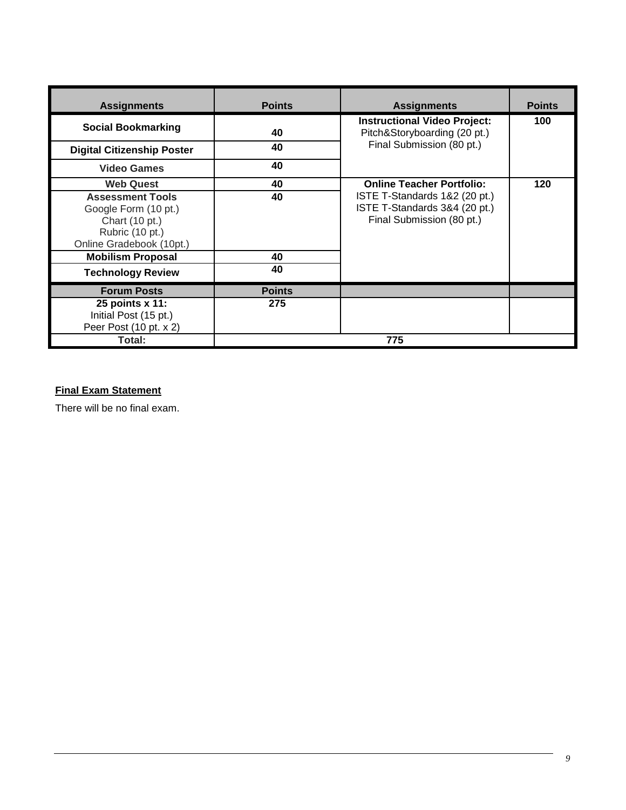| <b>Assignments</b>                                                                                               | <b>Points</b> | <b>Assignments</b>                                                                          | <b>Points</b> |
|------------------------------------------------------------------------------------------------------------------|---------------|---------------------------------------------------------------------------------------------|---------------|
| <b>Social Bookmarking</b>                                                                                        | 40            | <b>Instructional Video Project:</b><br>Pitch&Storyboarding (20 pt.)                         | 100           |
| <b>Digital Citizenship Poster</b>                                                                                | 40            | Final Submission (80 pt.)                                                                   |               |
| <b>Video Games</b>                                                                                               | 40            |                                                                                             |               |
| <b>Web Quest</b>                                                                                                 | 40            | <b>Online Teacher Portfolio:</b>                                                            | 120           |
| <b>Assessment Tools</b><br>Google Form (10 pt.)<br>Chart (10 pt.)<br>Rubric (10 pt.)<br>Online Gradebook (10pt.) | 40            | ISTE T-Standards 1&2 (20 pt.)<br>ISTE T-Standards 3&4 (20 pt.)<br>Final Submission (80 pt.) |               |
| <b>Mobilism Proposal</b>                                                                                         | 40            |                                                                                             |               |
| <b>Technology Review</b>                                                                                         | 40            |                                                                                             |               |
| <b>Forum Posts</b>                                                                                               | <b>Points</b> |                                                                                             |               |
| 25 points x 11:<br>Initial Post (15 pt.)<br>Peer Post (10 pt. x 2)                                               | 275           |                                                                                             |               |
| Total:                                                                                                           |               | 775                                                                                         |               |

# <span id="page-8-0"></span>**Final Exam Statement**

There will be no final exam.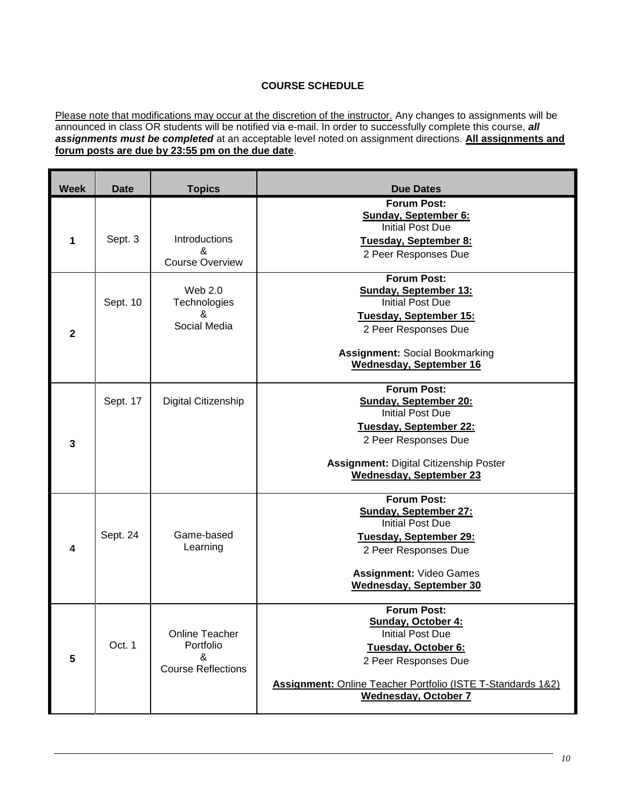## **COURSE SCHEDULE**

<span id="page-9-0"></span>Please note that modifications may occur at the discretion of the instructor. Any changes to assignments will be announced in class OR students will be notified via e-mail. In order to successfully complete this course, *all assignments must be completed* at an acceptable level noted on assignment directions. **All assignments and forum posts are due by 23:55 pm on the due date**.

| <b>Week</b>     | <b>Date</b> | <b>Topics</b>                                                        | <b>Due Dates</b>                                                                                                                                                                                                        |
|-----------------|-------------|----------------------------------------------------------------------|-------------------------------------------------------------------------------------------------------------------------------------------------------------------------------------------------------------------------|
| 1               | Sept. 3     | Introductions<br>&<br><b>Course Overview</b>                         | <b>Forum Post:</b><br><b>Sunday, September 6:</b><br><b>Initial Post Due</b><br>Tuesday, September 8:<br>2 Peer Responses Due                                                                                           |
| $\mathbf{2}$    | Sept. 10    | Web 2.0<br>Technologies<br>&<br>Social Media                         | <b>Forum Post:</b><br><b>Sunday, September 13:</b><br><b>Initial Post Due</b><br>Tuesday, September 15:<br>2 Peer Responses Due<br><b>Assignment: Social Bookmarking</b><br><b>Wednesday, September 16</b>              |
| 3               | Sept. 17    | Digital Citizenship                                                  | <b>Forum Post:</b><br><b>Sunday, September 20:</b><br><b>Initial Post Due</b><br>Tuesday, September 22:<br>2 Peer Responses Due<br><b>Assignment: Digital Citizenship Poster</b><br><b>Wednesday, September 23</b>      |
| 4               | Sept. 24    | Game-based<br>Learning                                               | <b>Forum Post:</b><br><b>Sunday, September 27:</b><br><b>Initial Post Due</b><br>Tuesday, September 29:<br>2 Peer Responses Due<br><b>Assignment: Video Games</b><br><b>Wednesday, September 30</b>                     |
| $5\phantom{.0}$ | Oct. 1      | <b>Online Teacher</b><br>Portfolio<br>&<br><b>Course Reflections</b> | <b>Forum Post:</b><br><b>Sunday, October 4:</b><br><b>Initial Post Due</b><br>Tuesday, October 6:<br>2 Peer Responses Due<br>Assignment: Online Teacher Portfolio (ISTE T-Standards 1&2)<br><b>Wednesday, October 7</b> |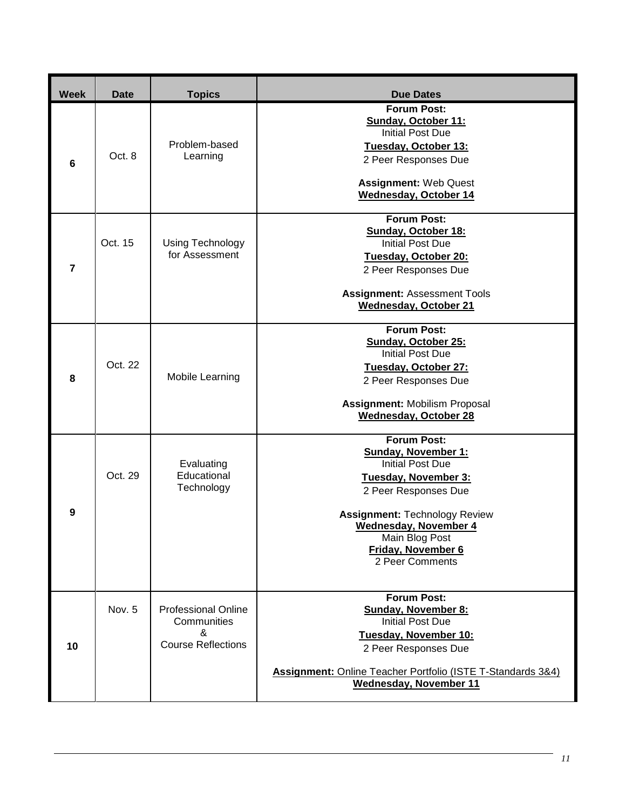| <b>Week</b>    | <b>Date</b> | <b>Topics</b>                                                               | Due Dates                                                                                                                                                                                                                                                      |
|----------------|-------------|-----------------------------------------------------------------------------|----------------------------------------------------------------------------------------------------------------------------------------------------------------------------------------------------------------------------------------------------------------|
| $6\phantom{1}$ | Oct. 8      | Problem-based<br>Learning                                                   | <b>Forum Post:</b><br>Sunday, October 11:<br><b>Initial Post Due</b><br>Tuesday, October 13:<br>2 Peer Responses Due<br><b>Assignment: Web Quest</b><br><b>Wednesday, October 14</b>                                                                           |
| $\overline{7}$ | Oct. 15     | Using Technology<br>for Assessment                                          | <b>Forum Post:</b><br><b>Sunday, October 18:</b><br><b>Initial Post Due</b><br>Tuesday, October 20:<br>2 Peer Responses Due<br><b>Assignment: Assessment Tools</b><br><b>Wednesday, October 21</b>                                                             |
| 8              | Oct. 22     | Mobile Learning                                                             | <b>Forum Post:</b><br>Sunday, October 25:<br><b>Initial Post Due</b><br>Tuesday, October 27:<br>2 Peer Responses Due<br><b>Assignment: Mobilism Proposal</b><br><b>Wednesday, October 28</b>                                                                   |
| 9              | Oct. 29     | Evaluating<br>Educational<br>Technology                                     | <b>Forum Post:</b><br><b>Sunday, November 1:</b><br><b>Initial Post Due</b><br>Tuesday, November 3:<br>2 Peer Responses Due<br><b>Assignment: Technology Review</b><br><b>Wednesday, November 4</b><br>Main Blog Post<br>Friday, November 6<br>2 Peer Comments |
| 10             | Nov. 5      | <b>Professional Online</b><br>Communities<br>&<br><b>Course Reflections</b> | <b>Forum Post:</b><br><b>Sunday, November 8:</b><br><b>Initial Post Due</b><br>Tuesday, November 10:<br>2 Peer Responses Due<br>Assignment: Online Teacher Portfolio (ISTE T-Standards 3&4)<br><b>Wednesday, November 11</b>                                   |